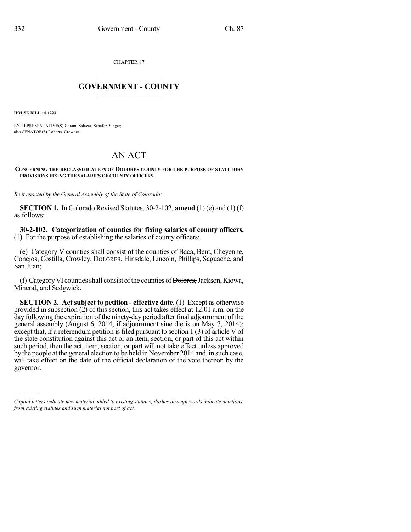CHAPTER 87

## $\mathcal{L}_\text{max}$  . The set of the set of the set of the set of the set of the set of the set of the set of the set of the set of the set of the set of the set of the set of the set of the set of the set of the set of the set **GOVERNMENT - COUNTY**  $\_$

**HOUSE BILL 14-1223**

)))))

BY REPRESENTATIVE(S) Coram, Salazar, Schafer, Singer; also SENATOR(S) Roberts, Crowder.

## AN ACT

**CONCERNING THE RECLASSIFICATION OF DOLORES COUNTY FOR THE PURPOSE OF STATUTORY PROVISIONS FIXING THE SALARIES OF COUNTY OFFICERS.**

*Be it enacted by the General Assembly of the State of Colorado:*

**SECTION 1.** In Colorado Revised Statutes, 30-2-102, **amend** (1) (e) and (1) (f) as follows:

**30-2-102. Categorization of counties for fixing salaries of county officers.** (1) For the purpose of establishing the salaries of county officers:

(e) Category V counties shall consist of the counties of Baca, Bent, Cheyenne, Conejos, Costilla, Crowley, DOLORES, Hinsdale, Lincoln, Phillips, Saguache, and San Juan;

(f) Category VI counties shall consist of the counties of Dolores, Jackson, Kiowa, Mineral, and Sedgwick.

**SECTION 2. Act subject to petition - effective date.** (1) Except as otherwise provided in subsection (2) of this section, this act takes effect at 12:01 a.m. on the day following the expiration of the ninety-day period after final adjournment of the general assembly (August 6, 2014, if adjournment sine die is on May 7, 2014); except that, if a referendum petition is filed pursuant to section  $1(3)$  of article V of the state constitution against this act or an item, section, or part of this act within such period, then the act, item, section, or part will not take effect unless approved by the people at the general election to be held in November 2014 and, in such case, will take effect on the date of the official declaration of the vote thereon by the governor.

*Capital letters indicate new material added to existing statutes; dashes through words indicate deletions from existing statutes and such material not part of act.*